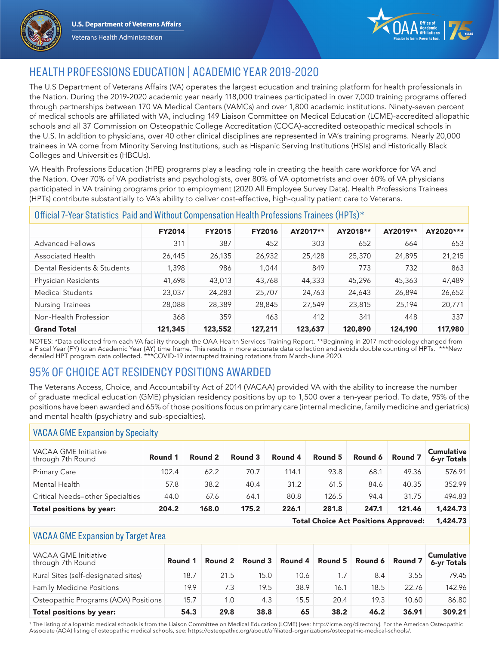





1,424.73

Total Choice Act Positions Approved:

# HEALTH PROFESSIONS EDUCATION | ACADEMIC YEAR 2019-2020

The U.S Department of Veterans Affairs (VA) operates the largest education and training platform for health professionals in the Nation. During the 2019-2020 academic year nearly 118,000 trainees participated in over 7,000 training programs offered through partnerships between 170 VA Medical Centers (VAMCs) and over 1,800 academic institutions. Ninety-seven percent of medical schools are affiliated with VA, including 149 Liaison Committee on Medical Education (LCME)-accredited allopathic schools and all 37 Commission on Osteopathic College Accreditation (COCA)-accredited osteopathic medical schools in the U.S. In addition to physicians, over 40 other clinical disciplines are represented in VA's training programs. Nearly 20,000 trainees in VA come from Minority Serving Institutions, such as Hispanic Serving Institutions (HSIs) and Historically Black Colleges and Universities (HBCUs).

VA Health Professions Education (HPE) programs play a leading role in creating the health care workforce for VA and the Nation. Over 70% of VA podiatrists and psychologists, over 80% of VA optometrists and over 60% of VA physicians participated in VA training programs prior to employment (2020 All Employee Survey Data). Health Professions Trainees (HPTs) contribute substantially to VA's ability to deliver cost-effective, high-quality patient care to Veterans.

| Official 7-Year Statistics Paid and Without Compensation Health Professions Trainees (HPTs)* |               |               |               |          |          |          |           |  |  |
|----------------------------------------------------------------------------------------------|---------------|---------------|---------------|----------|----------|----------|-----------|--|--|
|                                                                                              | <b>FY2014</b> | <b>FY2015</b> | <b>FY2016</b> | AY2017** | AY2018** | AY2019** | AY2020*** |  |  |
| <b>Advanced Fellows</b>                                                                      | 311           | 387           | 452           | 303      | 652      | 664      | 653       |  |  |
| <b>Associated Health</b>                                                                     | 26,445        | 26,135        | 26,932        | 25,428   | 25,370   | 24,895   | 21,215    |  |  |
| Dental Residents & Students                                                                  | 1,398         | 986           | 1,044         | 849      | 773      | 732      | 863       |  |  |
| Physician Residents                                                                          | 41,698        | 43,013        | 43,768        | 44,333   | 45,296   | 45,363   | 47,489    |  |  |
| Medical Students                                                                             | 23,037        | 24,283        | 25,707        | 24,763   | 24,643   | 26,894   | 26,652    |  |  |
| <b>Nursing Trainees</b>                                                                      | 28,088        | 28,389        | 28,845        | 27,549   | 23,815   | 25,194   | 20,771    |  |  |
| Non-Health Profession                                                                        | 368           | 359           | 463           | 412      | 341      | 448      | 337       |  |  |
| <b>Grand Total</b>                                                                           | 121,345       | 123,552       | 127,211       | 123,637  | 120,890  | 124,190  | 117,980   |  |  |

NOTES: \*Data collected from each VA facility through the OAA Health Services Training Report. \*\*Beginning in 2017 methodology changed from a Fiscal Year (FY) to an Academic Year (AY) time frame. This results in more accurate data collection and avoids double counting of HPTs. \*\*\*New detailed HPT program data collected. \*\*\*COVID-19 interrupted training rotations from March-June 2020.

# 95% OF CHOICE ACT RESIDENCY POSITIONS AWARDED

The Veterans Access, Choice, and Accountability Act of 2014 (VACAA) provided VA with the ability to increase the number of graduate medical education (GME) physician residency positions by up to 1,500 over a ten-year period. To date, 95% of the positions have been awarded and 65% of those positions focus on primary care (internal medicine, family medicine and geriatrics) and mental health (psychiatry and sub-specialties).

### VACAA GME Expansion by Specialty

| <b>VACAA GME Initiative</b><br>through 7th Round | Round 1 | Round 2 | Round 3 | Round 4 | Round 5 | Round 6 | Round 7 | <b>Cumulative</b><br>6-yr Totals |
|--------------------------------------------------|---------|---------|---------|---------|---------|---------|---------|----------------------------------|
| <b>Primary Care</b>                              | 102.4   | 62.2    | 70.7    | 114.1   | 93.8    | 68.1    | 49.36   | 576.91                           |
| Mental Health                                    | 57.8    | 38.2    | 40.4    | 31.2    | 61.5    | 84.6    | 40.35   | 352.99                           |
| Critical Needs-other Specialties                 | 44.0    | 67.6    | 64.1    | 80.8    | 126.5   | 94.4    | 31.75   | 494.83                           |
| Total positions by year:                         | 204.2   | 168.0   | 175.2   | 226.1   | 281.8   | 247.1   | 121.46  | 1,424.73                         |

#### VACAA GME Expansion by Target Area

| <b>VACAA GME Initiative</b><br>through 7th Round | Round 1 |      | Round 2 Round 3 Round 4 Round 5 Round 6 Round 7 |      |      |      |       | <b>Cumulative</b><br>6-yr Totals |
|--------------------------------------------------|---------|------|-------------------------------------------------|------|------|------|-------|----------------------------------|
| Rural Sites (self-designated sites)              | 18.7    | 21.5 | 15.0                                            | 10.6 | 1.7  | 8.4  | 3.55  | 79.45                            |
| <b>Family Medicine Positions</b>                 | 19.9    | 7.3  | 19.5                                            | 38.9 | 16.1 | 18.5 | 22.76 | 142.96                           |
| Osteopathic Programs (AOA) Positions             | 15.7    | 1.0  | 4.3                                             | 15.5 | 20.4 | 19.3 | 10.60 | 86.80                            |
| Total positions by year:                         | 54.3    | 29.8 | 38.8                                            | 65   | 38.2 | 46.2 | 36.91 | 309.21                           |

1 The listing of allopathic medical schools is from the Liaison Committee on Medical Education (LCME) [see: http://lcme.org/directory]. For the American Osteopathic Associate (AOA) listing of osteopathic medical schools, see: https://osteopathic.org/about/affiliated-organizations/osteopathic-medical-schools/.